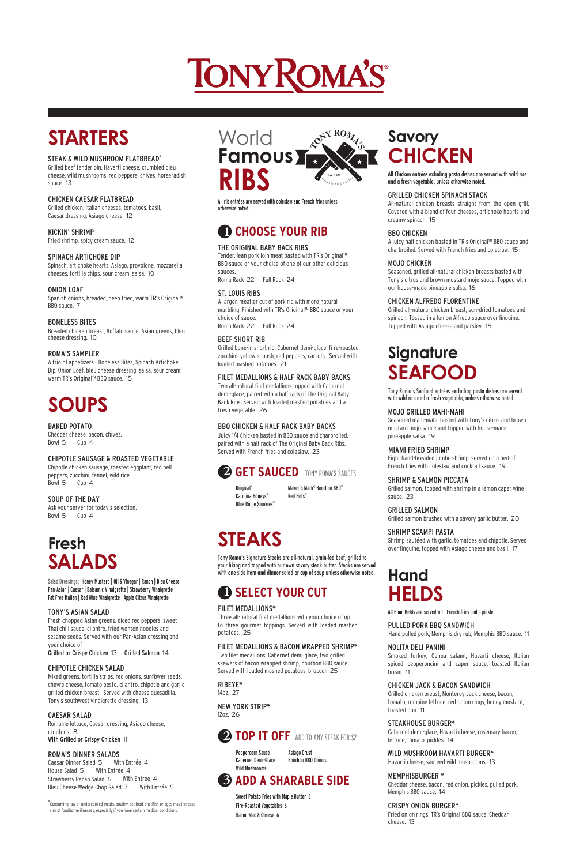# TONY ROMA'S

# **STARTERS**

#### STEAK & WILD MUSHROOM FLATBREAD\*

Grilled beef tenderloin, Havarti cheese, crumbled bleu cheese, wild mushrooms, red peppers, chives, horseradish sauce. 13

#### CHICKEN CAESAR FLATBREAD

Grilled chicken, Italian cheeses, tomatoes, basil, Caesar dressing, Asiago cheese. 12

KICKIN' SHRIMP Fried shrimp, spicy cream sauce. 12

#### SPINACH ARTICHOKE DIP

Spinach, artichoke hearts, Asiago, provolone, mozzarella cheeses, tortilla chips, sour cream, salsa. 10

#### ONION LOAF

Spanish onions, breaded, deep fried, warm TR's Original™ BBQ sauce. 7

#### BONELESS BITES

Breaded chicken breast, Buffalo sauce, Asian greens, bleu cheese dressing. 10

#### ROMA'S SAMPLER

A trio of appetizers - Boneless Bites, Spinach Artichoke Dip, Onion Loaf, bleu cheese dressing, salsa, sour cream, warm TR's Original™ BBQ sauce. 15

# **SOUPS**

#### BAKED POTATO

Cheddar cheese, bacon, chives. Bowl 5 Cup 4

Mixed greens, tortilla strips, red onions, sunfbwer seeds, chevre cheese, tomato pesto, cilantro, chipotle and garlic grilled chicken breast. Served with cheese quesadilla, Tony's southwest vinaigrette dressing. 13

#### CHIPOTLE SAUSAGE & ROASTED VEGETABLE

Chipotle chicken sausage, roasted eggplant, red bell peppers, zucchini, fennel, wild rice. Bowl 5 Cup 4



SOUP OF THE DAY Ask your server for today's selection.

Bowl 5 Cup 4

### **Fresh SALADS**

Salad Dressings: Honey Mustard | Oil & Vinegar | Ranch | Bleu Cheese Pan-Asian | Caesar | Balsamic Vinaigrette | Strawberry Vinaigrette Fat Free Italian | Red Wine Vinaigrette | Apple Citrus Vinaigrette

#### TONY'S ASIAN SALAD

Fresh chopped Asian greens, diced red peppers, sweet Thai chili sauce, cilantro, fried wonton noodles and sesame seeds. Served with our Pan-Asian dressing and your choice of

Grilled or Crispy Chicken 13 Grilled Salmon 14

#### CHIPOTLE CHICKEN SALAD

#### CAESAR SALAD

Romaine lettuce, Caesar dressing, Asiago cheese, croutons. 8 With Grilled or Crispy Chicken 11

#### ROMA'S DINNER SALADS

Peppercorn Sauce Asiago Crust Cabernet Demi-Glace Bourbon BBQ Onions Wild Mushrooms

Caesar Dinner Salad 5 With Entrée 4 Strawberry Pecan Salad 6 With Entrée 4 House Salad 5 With Entrée 4Bleu Cheese Wedge Chop Salad 7 With Entrée 5

 All rib entrées are served with coleslaw and French fries unless otherwise noted.

### **1 CHOOSE YOUR RIB**

#### THE ORIGINAL BABY BACK RIBS

Tender, lean pork loin meat basted with TR's Original™ BBQ sauce or your choice of one of our other delicious sauces.

Roma Rack 22 Full Rack 24

#### ST. LOUIS RIBS

A larger, meatier cut of pork rib with more natural marbling. Finished with TR's Original™ BBQ sauce or your choice of sauce. Roma Rack 22 Full Rack 24

#### BEEF SHORT RIB

Grilled bone-in short rib, Cabernet demi-glace, fi re-roasted zucchini, yellow squash, red peppers, carrots. Served with loaded mashed potatoes. 21

#### FILET MEDALLIONS & HALF RACK BABY BACKS

Two all-natural filet medallions topped with Cabernet demi-glace, paired with a half rack of The Original Baby Back Ribs. Served with loaded mashed potatoes and a fresh vegetable. 26

#### BBQ CHICKEN & HALF RACK BABY BACKS

Juicy 1/4 Chicken basted in BBQ sauce and charbroiled, paired with a half rack of The Original Baby Back Ribs. Served with French fries and coleslaw. 23

### **2 GET SAUCED** TONY ROMA'S SAUCES

Original™ Maker's Mark® Bourbon BBQ™ Red Hots™

 Carolina Honeys™ Blue Ridge Smokies™

# **STEAKS**

Tony Roma's Signature Steaks are all-natural, grain-fed beef, grilled to your liking and topped with our own savory steak butter. Steaks are served with one side item and dinner salad or cup of soup unless otherwise noted.

### **1 SELECT YOUR CUT**

#### FILET MEDALLIONS\*

Three all-natural filet medallions with your choice of up to three gourmet toppings. Served with loaded mashed potatoes. 25

#### FILET MEDALLIONS & BACON WRAPPED SHRIMP\*

Two filet medallions, Cabernet demi-glace, two grilled skewers of bacon wrapped shrimp, bourbon BBQ sauce. Served with loaded mashed potatoes, broccoli. 25

RIBEYE\* 14oz. 27

#### NEW YORK STRIP\* 12oz. 26

### **2 TOP IT OFF** ADD TO ANY STEAK FOR \$2

### **3 ADD A SHARABLE SIDE**

 Sweet Potato Fries with Maple Butter 6 Fire-Roasted Vegetables 6 Bacon Mac & Cheese 6

### **Savory CHICKEN**

All Chicken entrées exluding pasta dishes are served with wild rice and a fresh vegetable, unless otherwise noted.

#### GRILLED CHICKEN SPINACH STACK

All-natural chicken breasts straight from the open grill. Covered with a blend of four cheeses, artichoke hearts and creamy spinach. 15

#### BBQ CHICKEN

A juicy half chicken basted in TR's Original™ BBQ sauce and charbroiled. Served with French fries and coleslaw. 15

#### MOJO CHICKEN

Seasoned, grilled all-natural chicken breasts basted with Tony's citrus and brown mustard mojo sauce. Topped with our house-made pineapple salsa. 16

#### CHICKEN ALFREDO FLORENTINE

Grilled all-natural chicken breast, sun-dried tomatoes and spinach. Tossed in a lemon Alfredo sauce over linguine. Topped with Asiago cheese and parsley. 15

### **Signature SEAFOOD**

Tony Roma's Seafood entrées excluding pasta dishes are served with wild rice and a fresh vegetable, unless otherwise noted.

#### MOJO GRILLED MAHI-MAHI

Seasoned mahi-mahi, basted with Tony's citrus and brown mustard mojo sauce and topped with house-made pineapple salsa. 19

#### MIAMI FRIED SHRIMP

Eight hand-breaded jumbo shrimp, served on a bed of French fries with coleslaw and cocktail sauce. 19

#### SHRIMP & SALMON PICCATA

Grilled salmon, topped with shrimp in a lemon caper wine sauce. 23

#### GRILLED SALMON

Grilled salmon brushed with a savory garlic butter. 20

#### SHRIMP SCAMPI PASTA

Shrimp sautéed with garlic, tomatoes and chipotle. Served over linguine, topped with Asiago cheese and basil. 17

### **Hand HELDS**

All Hand Helds are served with French fries and a pickle.

#### PULLED PORK BBQ SANDWICH

Hand pulled pork, Memphis dry rub, Memphis BBQ sauce. 11

#### NOLITA DELI PANINI

Smoked turkey, Genoa salami, Havarti cheese, Italian spiced pepperoncini and caper sauce, toasted Italian bread. 11

#### CHICKEN JACK & BACON SANDWICH

Grilled chicken breast, Monterey Jack cheese, bacon, tomato, romaine lettuce, red onion rings, honey mustard, toasted bun. 11

#### STEAKHOUSE BURGER\*

Cabernet demi-glace, Havarti cheese, rosemary bacon, lettuce, tomato, pickles. 14

#### WILD MUSHROOM HAVARTI BURGER\*

Havarti cheese, sautéed wild mushrooms. 13

#### MEMPHIS BURGER \*

Cheddar cheese, bacon, red onion, pickles, pulled pork, Memphis BBQ sauce. 14

#### CRISPY ONION BURGER\*

Fried onion rings, TR's Original BBQ sauce, Cheddar cheese. 13

\* Consuming raw or undercooked meats, poultry, seafood, shellfish or eggs may increase risk of foodborne illnesses, especially if you have certain medical conditions.